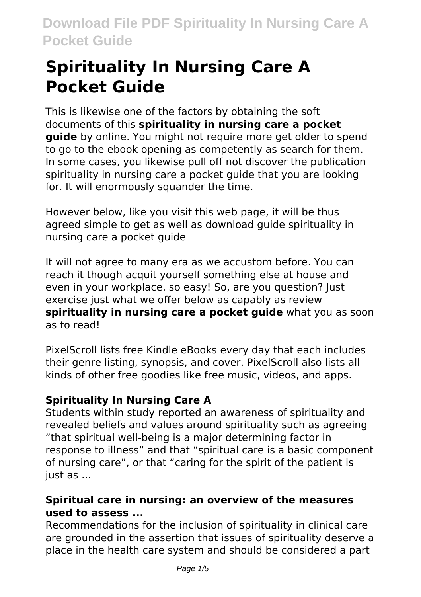# **Spirituality In Nursing Care A Pocket Guide**

This is likewise one of the factors by obtaining the soft documents of this **spirituality in nursing care a pocket guide** by online. You might not require more get older to spend to go to the ebook opening as competently as search for them. In some cases, you likewise pull off not discover the publication spirituality in nursing care a pocket guide that you are looking for. It will enormously squander the time.

However below, like you visit this web page, it will be thus agreed simple to get as well as download guide spirituality in nursing care a pocket guide

It will not agree to many era as we accustom before. You can reach it though acquit yourself something else at house and even in your workplace. so easy! So, are you question? Just exercise just what we offer below as capably as review **spirituality in nursing care a pocket guide** what you as soon as to read!

PixelScroll lists free Kindle eBooks every day that each includes their genre listing, synopsis, and cover. PixelScroll also lists all kinds of other free goodies like free music, videos, and apps.

# **Spirituality In Nursing Care A**

Students within study reported an awareness of spirituality and revealed beliefs and values around spirituality such as agreeing "that spiritual well-being is a major determining factor in response to illness" and that "spiritual care is a basic component of nursing care", or that "caring for the spirit of the patient is just as ...

# **Spiritual care in nursing: an overview of the measures used to assess ...**

Recommendations for the inclusion of spirituality in clinical care are grounded in the assertion that issues of spirituality deserve a place in the health care system and should be considered a part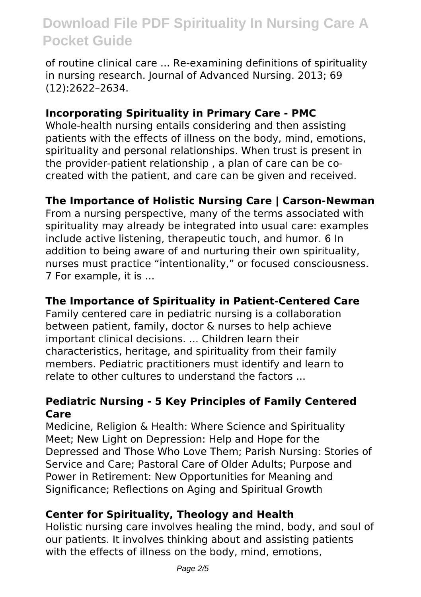of routine clinical care ... Re-examining definitions of spirituality in nursing research. Journal of Advanced Nursing. 2013; 69 (12):2622–2634.

# **Incorporating Spirituality in Primary Care - PMC**

Whole-health nursing entails considering and then assisting patients with the effects of illness on the body, mind, emotions, spirituality and personal relationships. When trust is present in the provider-patient relationship , a plan of care can be cocreated with the patient, and care can be given and received.

# **The Importance of Holistic Nursing Care | Carson-Newman**

From a nursing perspective, many of the terms associated with spirituality may already be integrated into usual care: examples include active listening, therapeutic touch, and humor. 6 In addition to being aware of and nurturing their own spirituality, nurses must practice "intentionality," or focused consciousness. 7 For example, it is ...

### **The Importance of Spirituality in Patient-Centered Care**

Family centered care in pediatric nursing is a collaboration between patient, family, doctor & nurses to help achieve important clinical decisions. ... Children learn their characteristics, heritage, and spirituality from their family members. Pediatric practitioners must identify and learn to relate to other cultures to understand the factors

#### **Pediatric Nursing - 5 Key Principles of Family Centered Care**

Medicine, Religion & Health: Where Science and Spirituality Meet; New Light on Depression: Help and Hope for the Depressed and Those Who Love Them; Parish Nursing: Stories of Service and Care; Pastoral Care of Older Adults; Purpose and Power in Retirement: New Opportunities for Meaning and Significance; Reflections on Aging and Spiritual Growth

### **Center for Spirituality, Theology and Health**

Holistic nursing care involves healing the mind, body, and soul of our patients. It involves thinking about and assisting patients with the effects of illness on the body, mind, emotions,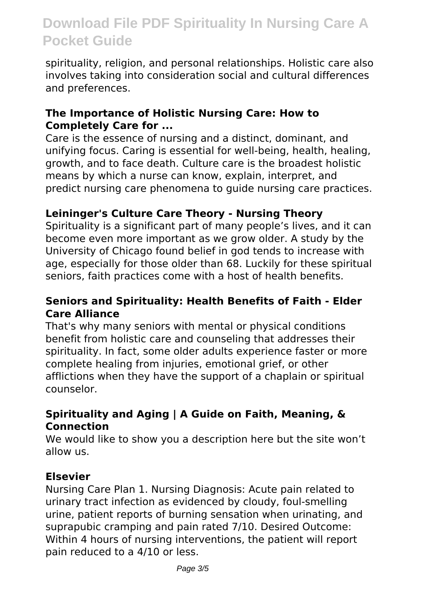spirituality, religion, and personal relationships. Holistic care also involves taking into consideration social and cultural differences and preferences.

### **The Importance of Holistic Nursing Care: How to Completely Care for ...**

Care is the essence of nursing and a distinct, dominant, and unifying focus. Caring is essential for well-being, health, healing, growth, and to face death. Culture care is the broadest holistic means by which a nurse can know, explain, interpret, and predict nursing care phenomena to guide nursing care practices.

# **Leininger's Culture Care Theory - Nursing Theory**

Spirituality is a significant part of many people's lives, and it can become even more important as we grow older. A study by the University of Chicago found belief in god tends to increase with age, especially for those older than 68. Luckily for these spiritual seniors, faith practices come with a host of health benefits.

### **Seniors and Spirituality: Health Benefits of Faith - Elder Care Alliance**

That's why many seniors with mental or physical conditions benefit from holistic care and counseling that addresses their spirituality. In fact, some older adults experience faster or more complete healing from injuries, emotional grief, or other afflictions when they have the support of a chaplain or spiritual counselor.

# **Spirituality and Aging | A Guide on Faith, Meaning, & Connection**

We would like to show you a description here but the site won't allow us.

### **Elsevier**

Nursing Care Plan 1. Nursing Diagnosis: Acute pain related to urinary tract infection as evidenced by cloudy, foul-smelling urine, patient reports of burning sensation when urinating, and suprapubic cramping and pain rated 7/10. Desired Outcome: Within 4 hours of nursing interventions, the patient will report pain reduced to a 4/10 or less.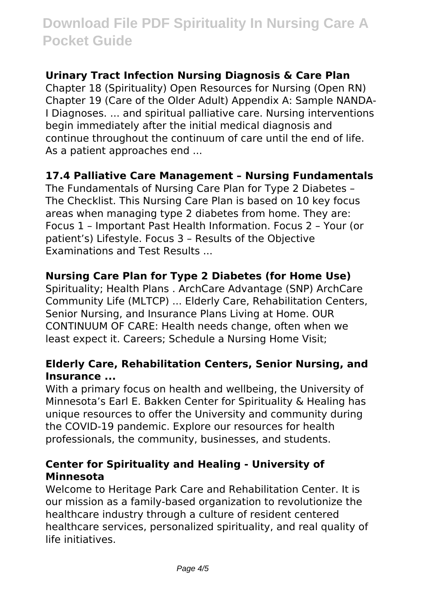# **Urinary Tract Infection Nursing Diagnosis & Care Plan**

Chapter 18 (Spirituality) Open Resources for Nursing (Open RN) Chapter 19 (Care of the Older Adult) Appendix A: Sample NANDA-I Diagnoses. ... and spiritual palliative care. Nursing interventions begin immediately after the initial medical diagnosis and continue throughout the continuum of care until the end of life. As a patient approaches end ...

#### **17.4 Palliative Care Management – Nursing Fundamentals**

The Fundamentals of Nursing Care Plan for Type 2 Diabetes – The Checklist. This Nursing Care Plan is based on 10 key focus areas when managing type 2 diabetes from home. They are: Focus 1 – Important Past Health Information. Focus 2 – Your (or patient's) Lifestyle. Focus 3 – Results of the Objective Examinations and Test Results ...

### **Nursing Care Plan for Type 2 Diabetes (for Home Use)**

Spirituality; Health Plans . ArchCare Advantage (SNP) ArchCare Community Life (MLTCP) ... Elderly Care, Rehabilitation Centers, Senior Nursing, and Insurance Plans Living at Home. OUR CONTINUUM OF CARE: Health needs change, often when we least expect it. Careers; Schedule a Nursing Home Visit;

#### **Elderly Care, Rehabilitation Centers, Senior Nursing, and Insurance ...**

With a primary focus on health and wellbeing, the University of Minnesota's Earl E. Bakken Center for Spirituality & Healing has unique resources to offer the University and community during the COVID-19 pandemic. Explore our resources for health professionals, the community, businesses, and students.

#### **Center for Spirituality and Healing - University of Minnesota**

Welcome to Heritage Park Care and Rehabilitation Center. It is our mission as a family-based organization to revolutionize the healthcare industry through a culture of resident centered healthcare services, personalized spirituality, and real quality of life initiatives.